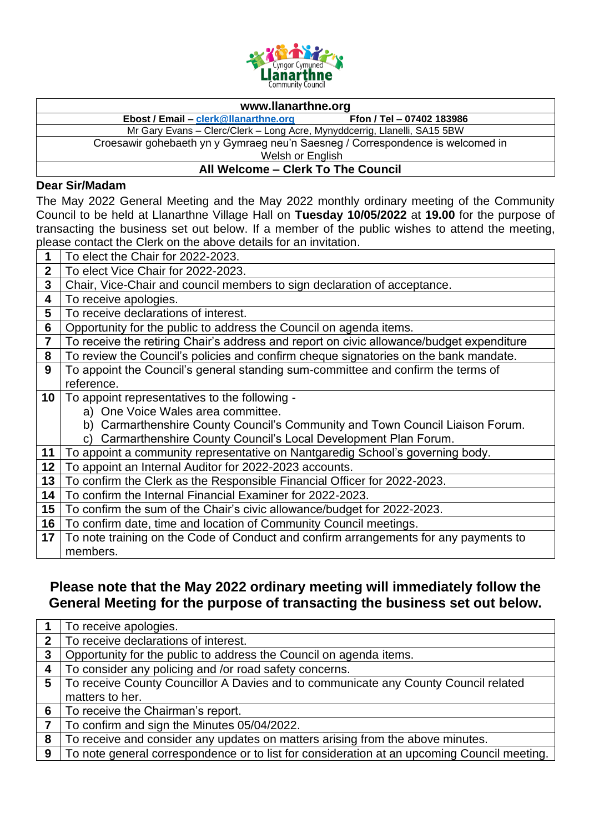

## **www.llanarthne.org**

**Ebost / Email – [clerk@llanarthne.org](mailto:clerk@llanarthne.org) Ffon / Tel – 07402 183986**

Mr Gary Evans – Clerc/Clerk – Long Acre, Mynyddcerrig, Llanelli, SA15 5BW

Croesawir gohebaeth yn y Gymraeg neu'n Saesneg / Correspondence is welcomed in

Welsh or English

## **All Welcome – Clerk To The Council**

## **Dear Sir/Madam**

The May 2022 General Meeting and the May 2022 monthly ordinary meeting of the Community Council to be held at Llanarthne Village Hall on **Tuesday 10/05/2022** at **19.00** for the purpose of transacting the business set out below. If a member of the public wishes to attend the meeting, please contact the Clerk on the above details for an invitation.

|                 | To elect the Chair for 2022-2023.                                                        |
|-----------------|------------------------------------------------------------------------------------------|
| $\mathbf{2}$    | To elect Vice Chair for 2022-2023.                                                       |
| 3               | Chair, Vice-Chair and council members to sign declaration of acceptance.                 |
| 4               | To receive apologies.                                                                    |
| 5               | To receive declarations of interest.                                                     |
| 6               | Opportunity for the public to address the Council on agenda items.                       |
| 7               | To receive the retiring Chair's address and report on civic allowance/budget expenditure |
| 8               | To review the Council's policies and confirm cheque signatories on the bank mandate.     |
| 9               | To appoint the Council's general standing sum-committee and confirm the terms of         |
|                 | reference.                                                                               |
| 10 <sup>°</sup> | To appoint representatives to the following -                                            |
|                 | a) One Voice Wales area committee.                                                       |
|                 | b) Carmarthenshire County Council's Community and Town Council Liaison Forum.            |
|                 | Carmarthenshire County Council's Local Development Plan Forum.<br>C)                     |
| 11              | To appoint a community representative on Nantgaredig School's governing body.            |
| 12              | To appoint an Internal Auditor for 2022-2023 accounts.                                   |
| 13              | To confirm the Clerk as the Responsible Financial Officer for 2022-2023.                 |
| 14              | To confirm the Internal Financial Examiner for 2022-2023.                                |
| 15              | To confirm the sum of the Chair's civic allowance/budget for 2022-2023.                  |
| 16              | To confirm date, time and location of Community Council meetings.                        |
| 17              | To note training on the Code of Conduct and confirm arrangements for any payments to     |
|                 | members.                                                                                 |

## **Please note that the May 2022 ordinary meeting will immediately follow the General Meeting for the purpose of transacting the business set out below.**

|              | To receive apologies.                                                                       |
|--------------|---------------------------------------------------------------------------------------------|
| $\mathbf{2}$ | To receive declarations of interest.                                                        |
| 3            | Opportunity for the public to address the Council on agenda items.                          |
| 4            | To consider any policing and /or road safety concerns.                                      |
| 5            | To receive County Councillor A Davies and to communicate any County Council related         |
|              | matters to her.                                                                             |
| 6            | To receive the Chairman's report.                                                           |
|              | To confirm and sign the Minutes 05/04/2022.                                                 |
| 8            | To receive and consider any updates on matters arising from the above minutes.              |
| 9            | To note general correspondence or to list for consideration at an upcoming Council meeting. |